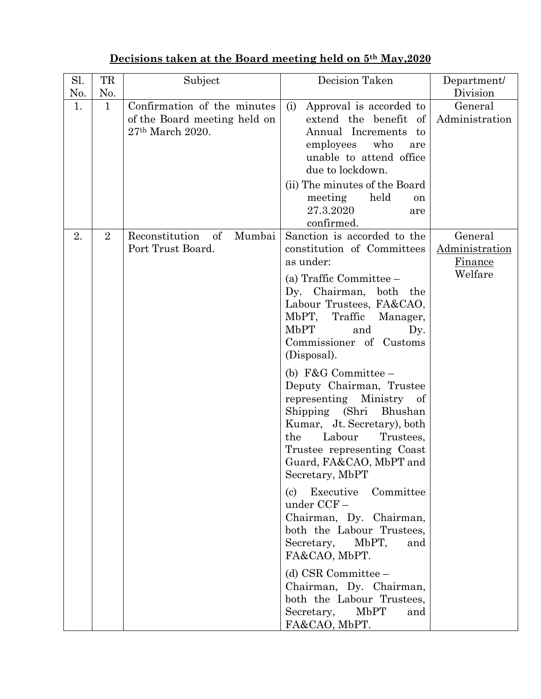| TR<br>Sl.<br>Subject                                                                                           | Decision Taken                                                                                                                                                                                                                                                                                                                                                                                                                                                                                                                                                                                                                                                                                                                                        | Department/                                            |
|----------------------------------------------------------------------------------------------------------------|-------------------------------------------------------------------------------------------------------------------------------------------------------------------------------------------------------------------------------------------------------------------------------------------------------------------------------------------------------------------------------------------------------------------------------------------------------------------------------------------------------------------------------------------------------------------------------------------------------------------------------------------------------------------------------------------------------------------------------------------------------|--------------------------------------------------------|
| No.<br>No.                                                                                                     |                                                                                                                                                                                                                                                                                                                                                                                                                                                                                                                                                                                                                                                                                                                                                       | Division                                               |
| Confirmation of the minutes<br>1.<br>$\mathbf{1}$<br>(i)<br>of the Board meeting held on<br>$27th$ March 2020. | Approval is accorded to<br>extend the benefit of<br>Annual Increments<br>to<br>employees<br>who<br>are<br>unable to attend office<br>due to lockdown.<br>(ii) The minutes of the Board<br>held<br>meeting<br>on<br>27.3.2020<br>are<br>confirmed.                                                                                                                                                                                                                                                                                                                                                                                                                                                                                                     | General<br>Administration                              |
| 2.<br>$\overline{2}$<br>Reconstitution<br>$\alpha$<br>Mumbai<br>Port Trust Board.<br>MbPT<br>the<br>(c)        | Sanction is accorded to the<br>constitution of Committees<br>as under:<br>(a) Traffic Committee –<br>Dy. Chairman, both the<br>Labour Trustees, FA&CAO,<br>MbPT, Traffic<br>Manager,<br>and<br>Dy.<br>Commissioner of Customs<br>(Disposal).<br>(b) $F&G$ Committee –<br>Deputy Chairman, Trustee<br>representing Ministry of<br>Shipping (Shri Bhushan<br>Kumar, Jt. Secretary), both<br>Labour<br>Trustees,<br>Trustee representing Coast<br>Guard, FA&CAO, MbPT and<br>Secretary, MbPT<br>Executive Committee<br>under CCF-<br>Chairman, Dy. Chairman,<br>both the Labour Trustees,<br>Secretary,<br>MbPT,<br>and<br>FA&CAO, MbPT.<br>$(d)$ CSR Committee $-$<br>Chairman, Dy. Chairman,<br>both the Labour Trustees,<br>Secretary,<br>MbPT<br>and | General<br>Administration<br><u>Finance</u><br>Welfare |

## **Decisions taken at the Board meeting held on 5th May,2020**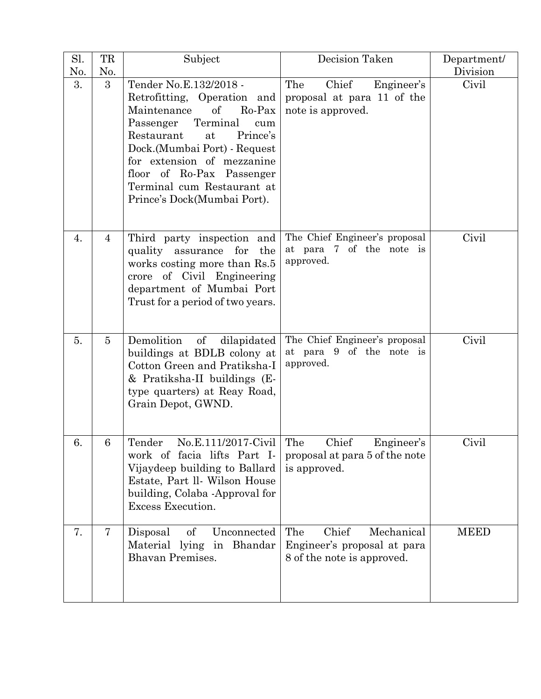| Sl.<br>No. | TR<br>No.      | Subject                                                                                                                                                                                                                                                                                                      | Decision Taken                                                                          | Department/<br>Division |
|------------|----------------|--------------------------------------------------------------------------------------------------------------------------------------------------------------------------------------------------------------------------------------------------------------------------------------------------------------|-----------------------------------------------------------------------------------------|-------------------------|
| 3.         | 3              | Tender No.E.132/2018 -<br>Retrofitting, Operation and<br>Ro-Pax<br>Maintenance<br>of<br>Terminal<br>Passenger<br>cum<br>Prince's<br>Restaurant<br>at<br>Dock.(Mumbai Port) - Request<br>for extension of mezzanine<br>floor of Ro-Pax Passenger<br>Terminal cum Restaurant at<br>Prince's Dock(Mumbai Port). | Chief<br>The<br>Engineer's<br>proposal at para 11 of the<br>note is approved.           | Civil                   |
| 4.         | $\overline{4}$ | Third party inspection and<br>the<br>quality assurance<br>for<br>works costing more than Rs.5<br>crore of Civil Engineering<br>department of Mumbai Port<br>Trust for a period of two years.                                                                                                                 | The Chief Engineer's proposal<br>at para 7 of the note is<br>approved.                  | Civil                   |
| 5.         | $\overline{5}$ | Demolition<br>$\sigma f$<br>dilapidated<br>buildings at BDLB colony at<br>Cotton Green and Pratiksha-I<br>& Pratiksha-II buildings (E-<br>type quarters) at Reay Road,<br>Grain Depot, GWND.                                                                                                                 | The Chief Engineer's proposal<br>at para 9 of the note is<br>approved.                  | Civil                   |
| 6.         | 6              | $No.E.111/2017$ -Civil The<br>Tender<br>work of facia lifts Part I-<br>Vijaydeep building to Ballard<br>Estate, Part II. Wilson House<br>building, Colaba -Approval for<br>Excess Execution.                                                                                                                 | Chief<br>Engineer's<br>proposal at para 5 of the note<br>is approved.                   | Civil                   |
| 7.         | 7              | Disposal<br>of<br>Unconnected<br>Material lying in Bhandar<br><b>Bhavan Premises.</b>                                                                                                                                                                                                                        | Chief<br>The<br>Mechanical<br>Engineer's proposal at para<br>8 of the note is approved. | <b>MEED</b>             |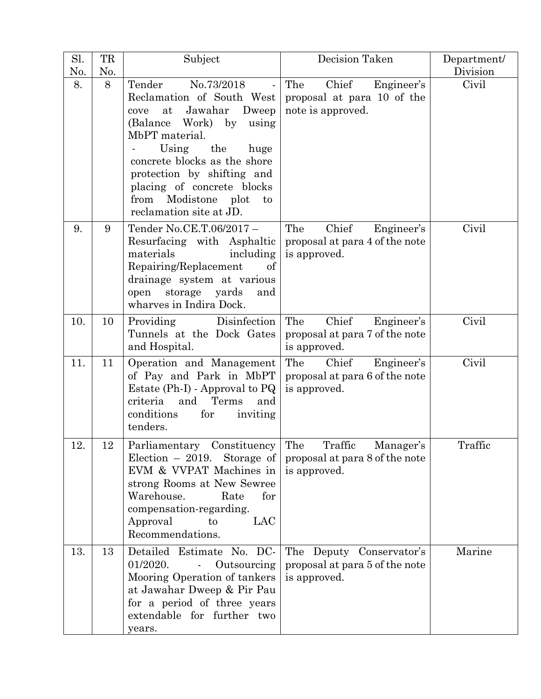| Sl.<br>No. | TR<br>No. | Subject                                                                                                                                                                                                                                                                                                                                 | Decision Taken                                                                | Department/<br>Division |
|------------|-----------|-----------------------------------------------------------------------------------------------------------------------------------------------------------------------------------------------------------------------------------------------------------------------------------------------------------------------------------------|-------------------------------------------------------------------------------|-------------------------|
| 8.         | 8         | No.73/2018<br>Tender<br>$\blacksquare$<br>Reclamation of South West<br>Jawahar<br>Dweep<br>at<br>cove<br>(Balance Work) by<br>using<br>MbPT material.<br>Using<br>the<br>huge<br>concrete blocks as the shore<br>protection by shifting and<br>placing of concrete blocks<br>from<br>Modistone<br>plot<br>to<br>reclamation site at JD. | Chief<br>The<br>Engineer's<br>proposal at para 10 of the<br>note is approved. | Civil                   |
| 9.         | 9         | Tender No.CE.T.06/2017-<br>Resurfacing with Asphaltic<br>materials<br>including<br>Repairing/Replacement<br>of<br>drainage system at various<br>yards<br>storage<br>open<br>and<br>wharves in Indira Dock.                                                                                                                              | The<br>Chief<br>Engineer's<br>proposal at para 4 of the note<br>is approved.  | Civil                   |
| 10.        | 10        | Disinfection<br>Providing<br>Tunnels at the Dock Gates<br>and Hospital.                                                                                                                                                                                                                                                                 | The<br>Chief<br>Engineer's<br>proposal at para 7 of the note<br>is approved.  | Civil                   |
| 11.        | 11        | Operation and Management<br>of Pay and Park in MbPT<br>Estate $(Ph-I)$ - Approval to $PQ$<br>and<br>criteria<br>Terms<br>and<br>conditions<br>for<br>inviting<br>tenders.                                                                                                                                                               | The<br>Chief<br>Engineer's<br>proposal at para 6 of the note<br>is approved.  | Civil                   |
| 12.        | 12        | Parliamentary Constituency The Traffic<br>Election $-2019$ . Storage of proposal at para 8 of the note<br>EVM & VVPAT Machines in<br>strong Rooms at New Sewree<br>Warehouse.<br>Rate<br>for<br>compensation-regarding.<br>LAC<br>Approval<br>to<br>Recommendations.                                                                    | Manager's<br>is approved.                                                     | Traffic                 |
| 13.        | 13        | Detailed Estimate No. DC-<br>01/2020.<br>Outsourcing<br>Mooring Operation of tankers<br>at Jawahar Dweep & Pir Pau<br>for a period of three years<br>extendable for further two<br>years.                                                                                                                                               | The Deputy Conservator's<br>proposal at para 5 of the note<br>is approved.    | Marine                  |